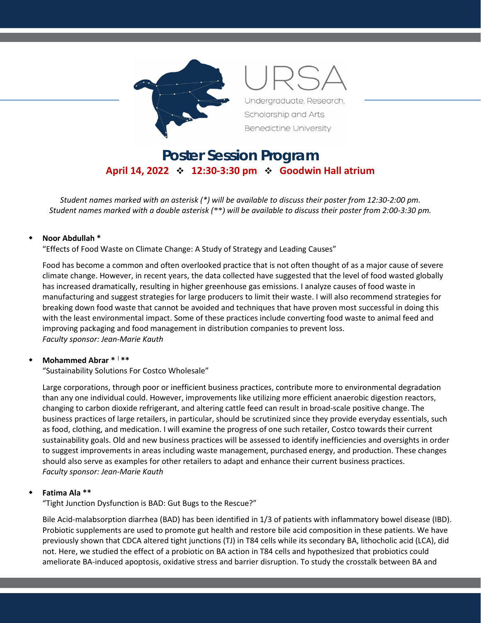

# **Poster Session Program April 14, 2022 12:30-3:30 pm Goodwin Hall atrium**

*Student names marked with an asterisk (\*) will be available to discuss their poster from 12:30-2:00 pm. Student names marked with a double asterisk (\*\*) will be available to discuss their poster from 2:00-3:30 pm.*

#### **Noor Abdullah \***

"Effects of Food Waste on Climate Change: A Study of Strategy and Leading Causes"

Food has become a common and often overlooked practice that is not often thought of as a major cause of severe climate change. However, in recent years, the data collected have suggested that the level of food wasted globally has increased dramatically, resulting in higher greenhouse gas emissions. I analyze causes of food waste in manufacturing and suggest strategies for large producers to limit their waste. I will also recommend strategies for breaking down food waste that cannot be avoided and techniques that have proven most successful in doing this with the least environmental impact. Some of these practices include converting food waste to animal feed and improving packaging and food management in distribution companies to prevent loss. *Faculty sponsor: Jean-Marie Kauth*

#### **Mohammed Abrar \*** <sup>|</sup> **\*\***

"Sustainability Solutions For Costco Wholesale"

Large corporations, through poor or inefficient business practices, contribute more to environmental degradation than any one individual could. However, improvements like utilizing more efficient anaerobic digestion reactors, changing to carbon dioxide refrigerant, and altering cattle feed can result in broad-scale positive change. The business practices of large retailers, in particular, should be scrutinized since they provide everyday essentials, such as food, clothing, and medication. I will examine the progress of one such retailer, Costco towards their current sustainability goals. Old and new business practices will be assessed to identify inefficiencies and oversights in order to suggest improvements in areas including waste management, purchased energy, and production. These changes should also serve as examples for other retailers to adapt and enhance their current business practices. *Faculty sponsor: Jean-Marie Kauth*

#### **Fatima Ala \*\***

"Tight Junction Dysfunction is BAD: Gut Bugs to the Rescue?"

Bile Acid-malabsorption diarrhea (BAD) has been identified in 1/3 of patients with inflammatory bowel disease (IBD). Probiotic supplements are used to promote gut health and restore bile acid composition in these patients. We have previously shown that CDCA altered tight junctions (TJ) in T84 cells while its secondary BA, lithocholic acid (LCA), did not. Here, we studied the effect of a probiotic on BA action in T84 cells and hypothesized that probiotics could ameliorate BA-induced apoptosis, oxidative stress and barrier disruption. To study the crosstalk between BA and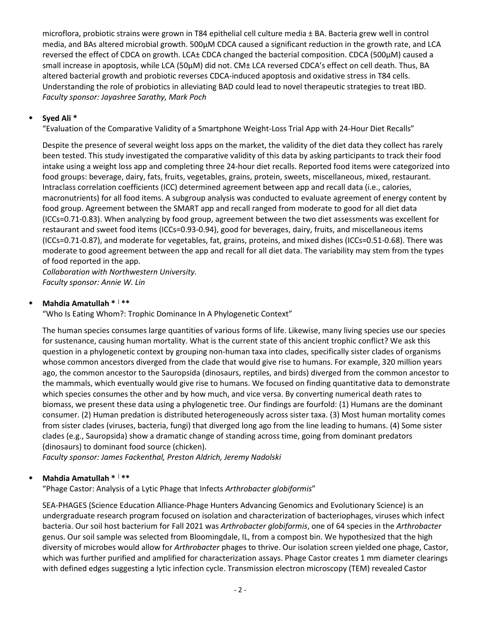microflora, probiotic strains were grown in T84 epithelial cell culture media ± BA. Bacteria grew well in control media, and BAs altered microbial growth. 500μM CDCA caused a significant reduction in the growth rate, and LCA reversed the effect of CDCA on growth. LCA± CDCA changed the bacterial composition. CDCA (500μM) caused a small increase in apoptosis, while LCA (50μM) did not. CM± LCA reversed CDCA's effect on cell death. Thus, BA altered bacterial growth and probiotic reverses CDCA-induced apoptosis and oxidative stress in T84 cells. Understanding the role of probiotics in alleviating BAD could lead to novel therapeutic strategies to treat IBD. *Faculty sponsor: Jayashree Sarathy, Mark Poch*

## **Syed Ali \***

"Evaluation of the Comparative Validity of a Smartphone Weight-Loss Trial App with 24-Hour Diet Recalls"

Despite the presence of several weight loss apps on the market, the validity of the diet data they collect has rarely been tested. This study investigated the comparative validity of this data by asking participants to track their food intake using a weight loss app and completing three 24-hour diet recalls. Reported food items were categorized into food groups: beverage, dairy, fats, fruits, vegetables, grains, protein, sweets, miscellaneous, mixed, restaurant. Intraclass correlation coefficients (ICC) determined agreement between app and recall data (i.e., calories, macronutrients) for all food items. A subgroup analysis was conducted to evaluate agreement of energy content by food group. Agreement between the SMART app and recall ranged from moderate to good for all diet data (ICCs=0.71-0.83). When analyzing by food group, agreement between the two diet assessments was excellent for restaurant and sweet food items (ICCs=0.93-0.94), good for beverages, dairy, fruits, and miscellaneous items (ICCs=0.71-0.87), and moderate for vegetables, fat, grains, proteins, and mixed dishes (ICCs=0.51-0.68). There was moderate to good agreement between the app and recall for all diet data. The variability may stem from the types of food reported in the app.

*Collaboration with Northwestern University. Faculty sponsor: Annie W. Lin*

## **Mahdia Amatullah \*** <sup>|</sup> **\*\***

"Who Is Eating Whom?: Trophic Dominance In A Phylogenetic Context"

The human species consumes large quantities of various forms of life. Likewise, many living species use our species for sustenance, causing human mortality. What is the current state of this ancient trophic conflict? We ask this question in a phylogenetic context by grouping non-human taxa into clades, specifically sister clades of organisms whose common ancestors diverged from the clade that would give rise to humans. For example, 320 million years ago, the common ancestor to the Sauropsida (dinosaurs, reptiles, and birds) diverged from the common ancestor to the mammals, which eventually would give rise to humans. We focused on finding quantitative data to demonstrate which species consumes the other and by how much, and vice versa. By converting numerical death rates to biomass, we present these data using a phylogenetic tree. Our findings are fourfold: (1) Humans are the dominant consumer. (2) Human predation is distributed heterogeneously across sister taxa. (3) Most human mortality comes from sister clades (viruses, bacteria, fungi) that diverged long ago from the line leading to humans. (4) Some sister clades (e.g., Sauropsida) show a dramatic change of standing across time, going from dominant predators (dinosaurs) to dominant food source (chicken).

*Faculty sponsor: James Fackenthal, Preston Aldrich, Jeremy Nadolski*

## **Mahdia Amatullah \*** <sup>|</sup> **\*\***

"Phage Castor: Analysis of a Lytic Phage that Infects *Arthrobacter globiformis*"

SEA-PHAGES (Science Education Alliance-Phage Hunters Advancing Genomics and Evolutionary Science) is an undergraduate research program focused on isolation and characterization of bacteriophages, viruses which infect bacteria. Our soil host bacterium for Fall 2021 was *Arthrobacter globiformis*, one of 64 species in the *Arthrobacter* genus. Our soil sample was selected from Bloomingdale, IL, from a compost bin. We hypothesized that the high diversity of microbes would allow for *Arthrobacter* phages to thrive. Our isolation screen yielded one phage, Castor, which was further purified and amplified for characterization assays. Phage Castor creates 1 mm diameter clearings with defined edges suggesting a lytic infection cycle. Transmission electron microscopy (TEM) revealed Castor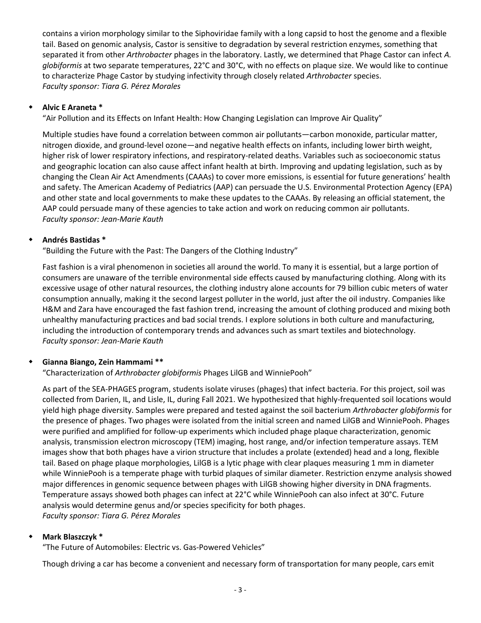contains a virion morphology similar to the Siphoviridae family with a long capsid to host the genome and a flexible tail. Based on genomic analysis, Castor is sensitive to degradation by several restriction enzymes, something that separated it from other *Arthrobacter* phages in the laboratory. Lastly, we determined that Phage Castor can infect *A. globiformis* at two separate temperatures, 22°C and 30°C, with no effects on plaque size. We would like to continue to characterize Phage Castor by studying infectivity through closely related *Arthrobacter* species. *Faculty sponsor: Tiara G. Pérez Morales*

## **Alvic E Araneta \***

"Air Pollution and its Effects on Infant Health: How Changing Legislation can Improve Air Quality"

Multiple studies have found a correlation between common air pollutants—carbon monoxide, particular matter, nitrogen dioxide, and ground-level ozone—and negative health effects on infants, including lower birth weight, higher risk of lower respiratory infections, and respiratory-related deaths. Variables such as socioeconomic status and geographic location can also cause affect infant health at birth. Improving and updating legislation, such as by changing the Clean Air Act Amendments (CAAAs) to cover more emissions, is essential for future generations' health and safety. The American Academy of Pediatrics (AAP) can persuade the U.S. Environmental Protection Agency (EPA) and other state and local governments to make these updates to the CAAAs. By releasing an official statement, the AAP could persuade many of these agencies to take action and work on reducing common air pollutants. *Faculty sponsor: Jean-Marie Kauth*

## **Andrés Bastidas \***

"Building the Future with the Past: The Dangers of the Clothing Industry"

Fast fashion is a viral phenomenon in societies all around the world. To many it is essential, but a large portion of consumers are unaware of the terrible environmental side effects caused by manufacturing clothing. Along with its excessive usage of other natural resources, the clothing industry alone accounts for 79 billion cubic meters of water consumption annually, making it the second largest polluter in the world, just after the oil industry. Companies like H&M and Zara have encouraged the fast fashion trend, increasing the amount of clothing produced and mixing both unhealthy manufacturing practices and bad social trends. I explore solutions in both culture and manufacturing, including the introduction of contemporary trends and advances such as smart textiles and biotechnology. *Faculty sponsor: Jean-Marie Kauth*

## **Gianna Biango, Zein Hammami \*\***

"Characterization of *Arthrobacter globiformis* Phages LilGB and WinniePooh"

As part of the SEA-PHAGES program, students isolate viruses (phages) that infect bacteria. For this project, soil was collected from Darien, IL, and Lisle, IL, during Fall 2021. We hypothesized that highly-frequented soil locations would yield high phage diversity. Samples were prepared and tested against the soil bacterium *Arthrobacter globiformis* for the presence of phages. Two phages were isolated from the initial screen and named LilGB and WinniePooh. Phages were purified and amplified for follow-up experiments which included phage plaque characterization, genomic analysis, transmission electron microscopy (TEM) imaging, host range, and/or infection temperature assays. TEM images show that both phages have a virion structure that includes a prolate (extended) head and a long, flexible tail. Based on phage plaque morphologies, LilGB is a lytic phage with clear plaques measuring 1 mm in diameter while WinniePooh is a temperate phage with turbid plaques of similar diameter. Restriction enzyme analysis showed major differences in genomic sequence between phages with LilGB showing higher diversity in DNA fragments. Temperature assays showed both phages can infect at 22°C while WinniePooh can also infect at 30°C. Future analysis would determine genus and/or species specificity for both phages. *Faculty sponsor: Tiara G. Pérez Morales*

## **Mark Blaszczyk \***

"The Future of Automobiles: Electric vs. Gas-Powered Vehicles"

Though driving a car has become a convenient and necessary form of transportation for many people, cars emit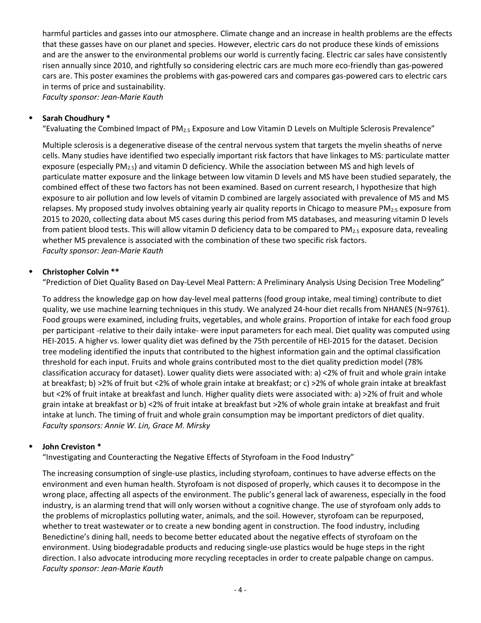harmful particles and gasses into our atmosphere. Climate change and an increase in health problems are the effects that these gasses have on our planet and species. However, electric cars do not produce these kinds of emissions and are the answer to the environmental problems our world is currently facing. Electric car sales have consistently risen annually since 2010, and rightfully so considering electric cars are much more eco-friendly than gas-powered cars are. This poster examines the problems with gas-powered cars and compares gas-powered cars to electric cars in terms of price and sustainability.

*Faculty sponsor: Jean-Marie Kauth*

# **Sarah Choudhury \***

"Evaluating the Combined Impact of PM2.5 Exposure and Low Vitamin D Levels on Multiple Sclerosis Prevalence"

Multiple sclerosis is a degenerative disease of the central nervous system that targets the myelin sheaths of nerve cells. Many studies have identified two especially important risk factors that have linkages to MS: particulate matter exposure (especially  $PM_{2.5}$ ) and vitamin D deficiency. While the association between MS and high levels of particulate matter exposure and the linkage between low vitamin D levels and MS have been studied separately, the combined effect of these two factors has not been examined. Based on current research, I hypothesize that high exposure to air pollution and low levels of vitamin D combined are largely associated with prevalence of MS and MS relapses. My proposed study involves obtaining yearly air quality reports in Chicago to measure  $PM_{2.5}$  exposure from 2015 to 2020, collecting data about MS cases during this period from MS databases, and measuring vitamin D levels from patient blood tests. This will allow vitamin D deficiency data to be compared to PM<sub>2.5</sub> exposure data, revealing whether MS prevalence is associated with the combination of these two specific risk factors. *Faculty sponsor: Jean-Marie Kauth*

# **Christopher Colvin \*\***

"Prediction of Diet Quality Based on Day-Level Meal Pattern: A Preliminary Analysis Using Decision Tree Modeling"

To address the knowledge gap on how day-level meal patterns (food group intake, meal timing) contribute to diet quality, we use machine learning techniques in this study. We analyzed 24-hour diet recalls from NHANES (N=9761). Food groups were examined, including fruits, vegetables, and whole grains. Proportion of intake for each food group per participant -relative to their daily intake- were input parameters for each meal. Diet quality was computed using HEI-2015. A higher vs. lower quality diet was defined by the 75th percentile of HEI-2015 for the dataset. Decision tree modeling identified the inputs that contributed to the highest information gain and the optimal classification threshold for each input. Fruits and whole grains contributed most to the diet quality prediction model (78% classification accuracy for dataset). Lower quality diets were associated with: a) <2% of fruit and whole grain intake at breakfast; b) >2% of fruit but <2% of whole grain intake at breakfast; or c) >2% of whole grain intake at breakfast but <2% of fruit intake at breakfast and lunch. Higher quality diets were associated with: a) >2% of fruit and whole grain intake at breakfast or b) <2% of fruit intake at breakfast but >2% of whole grain intake at breakfast and fruit intake at lunch. The timing of fruit and whole grain consumption may be important predictors of diet quality. *Faculty sponsors: Annie W. Lin, Grace M. Mirsky*

## **John Creviston \***

"Investigating and Counteracting the Negative Effects of Styrofoam in the Food Industry"

The increasing consumption of single-use plastics, including styrofoam, continues to have adverse effects on the environment and even human health. Styrofoam is not disposed of properly, which causes it to decompose in the wrong place, affecting all aspects of the environment. The public's general lack of awareness, especially in the food industry, is an alarming trend that will only worsen without a cognitive change. The use of styrofoam only adds to the problems of microplastics polluting water, animals, and the soil. However, styrofoam can be repurposed, whether to treat wastewater or to create a new bonding agent in construction. The food industry, including Benedictine's dining hall, needs to become better educated about the negative effects of styrofoam on the environment. Using biodegradable products and reducing single-use plastics would be huge steps in the right direction. I also advocate introducing more recycling receptacles in order to create palpable change on campus. *Faculty sponsor: Jean-Marie Kauth*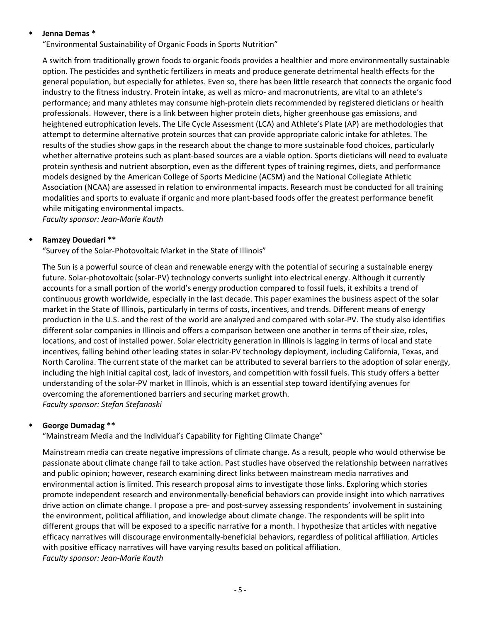#### **Jenna Demas \***

"Environmental Sustainability of Organic Foods in Sports Nutrition"

A switch from traditionally grown foods to organic foods provides a healthier and more environmentally sustainable option. The pesticides and synthetic fertilizers in meats and produce generate detrimental health effects for the general population, but especially for athletes. Even so, there has been little research that connects the organic food industry to the fitness industry. Protein intake, as well as micro- and macronutrients, are vital to an athlete's performance; and many athletes may consume high-protein diets recommended by registered dieticians or health professionals. However, there is a link between higher protein diets, higher greenhouse gas emissions, and heightened eutrophication levels. The Life Cycle Assessment (LCA) and Athlete's Plate (AP) are methodologies that attempt to determine alternative protein sources that can provide appropriate caloric intake for athletes. The results of the studies show gaps in the research about the change to more sustainable food choices, particularly whether alternative proteins such as plant-based sources are a viable option. Sports dieticians will need to evaluate protein synthesis and nutrient absorption, even as the different types of training regimes, diets, and performance models designed by the American College of Sports Medicine (ACSM) and the National Collegiate Athletic Association (NCAA) are assessed in relation to environmental impacts. Research must be conducted for all training modalities and sports to evaluate if organic and more plant-based foods offer the greatest performance benefit while mitigating environmental impacts.

*Faculty sponsor: Jean-Marie Kauth*

#### **Ramzey Douedari \*\***

"Survey of the Solar-Photovoltaic Market in the State of Illinois"

The Sun is a powerful source of clean and renewable energy with the potential of securing a sustainable energy future. Solar-photovoltaic (solar-PV) technology converts sunlight into electrical energy. Although it currently accounts for a small portion of the world's energy production compared to fossil fuels, it exhibits a trend of continuous growth worldwide, especially in the last decade. This paper examines the business aspect of the solar market in the State of Illinois, particularly in terms of costs, incentives, and trends. Different means of energy production in the U.S. and the rest of the world are analyzed and compared with solar-PV. The study also identifies different solar companies in Illinois and offers a comparison between one another in terms of their size, roles, locations, and cost of installed power. Solar electricity generation in Illinois is lagging in terms of local and state incentives, falling behind other leading states in solar-PV technology deployment, including California, Texas, and North Carolina. The current state of the market can be attributed to several barriers to the adoption of solar energy, including the high initial capital cost, lack of investors, and competition with fossil fuels. This study offers a better understanding of the solar-PV market in Illinois, which is an essential step toward identifying avenues for overcoming the aforementioned barriers and securing market growth. *Faculty sponsor: Stefan Stefanoski*

#### **George Dumadag \*\***

"Mainstream Media and the Individual's Capability for Fighting Climate Change"

Mainstream media can create negative impressions of climate change. As a result, people who would otherwise be passionate about climate change fail to take action. Past studies have observed the relationship between narratives and public opinion; however, research examining direct links between mainstream media narratives and environmental action is limited. This research proposal aims to investigate those links. Exploring which stories promote independent research and environmentally-beneficial behaviors can provide insight into which narratives drive action on climate change. I propose a pre- and post-survey assessing respondents' involvement in sustaining the environment, political affiliation, and knowledge about climate change. The respondents will be split into different groups that will be exposed to a specific narrative for a month. I hypothesize that articles with negative efficacy narratives will discourage environmentally-beneficial behaviors, regardless of political affiliation. Articles with positive efficacy narratives will have varying results based on political affiliation. *Faculty sponsor: Jean-Marie Kauth*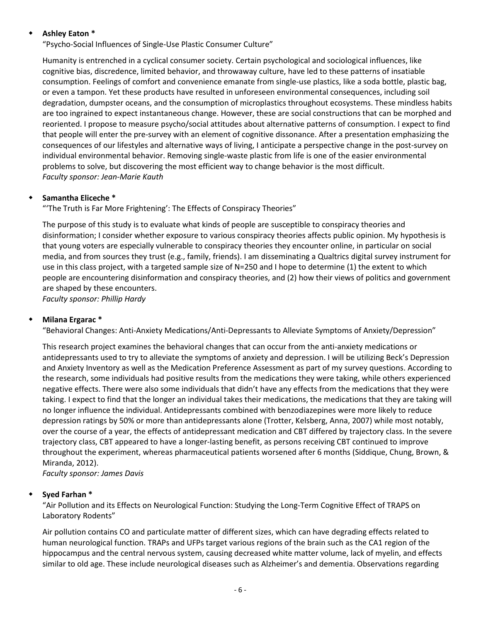#### **Ashley Eaton \***

"Psycho-Social Influences of Single-Use Plastic Consumer Culture"

Humanity is entrenched in a cyclical consumer society. Certain psychological and sociological influences, like cognitive bias, discredence, limited behavior, and throwaway culture, have led to these patterns of insatiable consumption. Feelings of comfort and convenience emanate from single-use plastics, like a soda bottle, plastic bag, or even a tampon. Yet these products have resulted in unforeseen environmental consequences, including soil degradation, dumpster oceans, and the consumption of microplastics throughout ecosystems. These mindless habits are too ingrained to expect instantaneous change. However, these are social constructions that can be morphed and reoriented. I propose to measure psycho/social attitudes about alternative patterns of consumption. I expect to find that people will enter the pre-survey with an element of cognitive dissonance. After a presentation emphasizing the consequences of our lifestyles and alternative ways of living, I anticipate a perspective change in the post-survey on individual environmental behavior. Removing single-waste plastic from life is one of the easier environmental problems to solve, but discovering the most efficient way to change behavior is the most difficult. *Faculty sponsor: Jean-Marie Kauth*

## **Samantha Eliceche \***

"'The Truth is Far More Frightening': The Effects of Conspiracy Theories"

The purpose of this study is to evaluate what kinds of people are susceptible to conspiracy theories and disinformation; I consider whether exposure to various conspiracy theories affects public opinion. My hypothesis is that young voters are especially vulnerable to conspiracy theories they encounter online, in particular on social media, and from sources they trust (e.g., family, friends). I am disseminating a Qualtrics digital survey instrument for use in this class project, with a targeted sample size of N=250 and I hope to determine (1) the extent to which people are encountering disinformation and conspiracy theories, and (2) how their views of politics and government are shaped by these encounters.

*Faculty sponsor: Phillip Hardy*

#### **Milana Ergarac \***

"Behavioral Changes: Anti-Anxiety Medications/Anti-Depressants to Alleviate Symptoms of Anxiety/Depression"

This research project examines the behavioral changes that can occur from the anti-anxiety medications or antidepressants used to try to alleviate the symptoms of anxiety and depression. I will be utilizing Beck's Depression and Anxiety Inventory as well as the Medication Preference Assessment as part of my survey questions. According to the research, some individuals had positive results from the medications they were taking, while others experienced negative effects. There were also some individuals that didn't have any effects from the medications that they were taking. I expect to find that the longer an individual takes their medications, the medications that they are taking will no longer influence the individual. Antidepressants combined with benzodiazepines were more likely to reduce depression ratings by 50% or more than antidepressants alone (Trotter, Kelsberg, Anna, 2007) while most notably, over the course of a year, the effects of antidepressant medication and CBT differed by trajectory class. In the severe trajectory class, CBT appeared to have a longer-lasting benefit, as persons receiving CBT continued to improve throughout the experiment, whereas pharmaceutical patients worsened after 6 months (Siddique, Chung, Brown, & Miranda, 2012).

*Faculty sponsor: James Davis*

#### **Syed Farhan \***

"Air Pollution and its Effects on Neurological Function: Studying the Long-Term Cognitive Effect of TRAPS on Laboratory Rodents"

Air pollution contains CO and particulate matter of different sizes, which can have degrading effects related to human neurological function. TRAPs and UFPs target various regions of the brain such as the CA1 region of the hippocampus and the central nervous system, causing decreased white matter volume, lack of myelin, and effects similar to old age. These include neurological diseases such as Alzheimer's and dementia. Observations regarding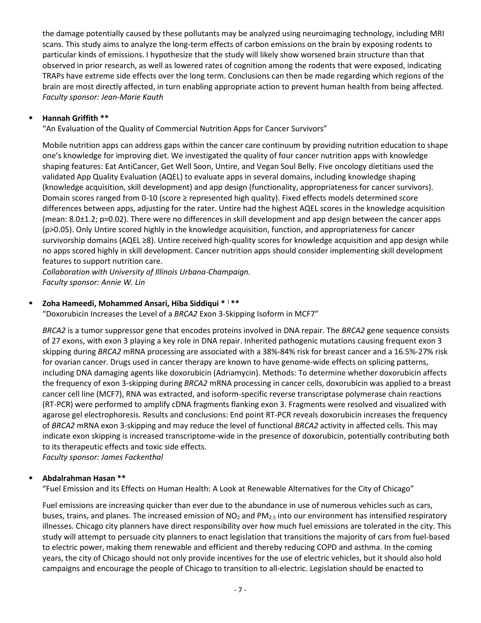the damage potentially caused by these pollutants may be analyzed using neuroimaging technology, including MRI scans. This study aims to analyze the long-term effects of carbon emissions on the brain by exposing rodents to particular kinds of emissions. I hypothesize that the study will likely show worsened brain structure than that observed in prior research, as well as lowered rates of cognition among the rodents that were exposed, indicating TRAPs have extreme side effects over the long term. Conclusions can then be made regarding which regions of the brain are most directly affected, in turn enabling appropriate action to prevent human health from being affected. *Faculty sponsor: Jean-Marie Kauth*

#### **Hannah Griffith \*\***

"An Evaluation of the Quality of Commercial Nutrition Apps for Cancer Survivors"

Mobile nutrition apps can address gaps within the cancer care continuum by providing nutrition education to shape one's knowledge for improving diet. We investigated the quality of four cancer nutrition apps with knowledge shaping features: Eat AntiCancer, Get Well Soon, Untire, and Vegan Soul Belly. Five oncology dietitians used the validated App Quality Evaluation (AQEL) to evaluate apps in several domains, including knowledge shaping (knowledge acquisition, skill development) and app design (functionality, appropriateness for cancer survivors). Domain scores ranged from 0-10 (score ≥ represented high quality). Fixed effects models determined score differences between apps, adjusting for the rater. Untire had the highest AQEL scores in the knowledge acquisition (mean: 8.0±1.2; p=0.02). There were no differences in skill development and app design between the cancer apps (p>0.05). Only Untire scored highly in the knowledge acquisition, function, and appropriateness for cancer survivorship domains (AQEL ≥8). Untire received high-quality scores for knowledge acquisition and app design while no apps scored highly in skill development. Cancer nutrition apps should consider implementing skill development features to support nutrition care.

*Collaboration with University of Illinois Urbana-Champaign. Faculty sponsor: Annie W. Lin*

## **Zoha Hameedi, Mohammed Ansari, Hiba Siddiqui \*** <sup>|</sup> **\*\***

"Doxorubicin Increases the Level of a *BRCA2* Exon 3-Skipping Isoform in MCF7"

*BRCA2* is a tumor suppressor gene that encodes proteins involved in DNA repair. The *BRCA2* gene sequence consists of 27 exons, with exon 3 playing a key role in DNA repair. Inherited pathogenic mutations causing frequent exon 3 skipping during *BRCA2* mRNA processing are associated with a 38%-84% risk for breast cancer and a 16.5%-27% risk for ovarian cancer. Drugs used in cancer therapy are known to have genome-wide effects on splicing patterns, including DNA damaging agents like doxorubicin (Adriamycin). Methods: To determine whether doxorubicin affects the frequency of exon 3-skipping during *BRCA2* mRNA processing in cancer cells, doxorubicin was applied to a breast cancer cell line (MCF7), RNA was extracted, and isoform-specific reverse transcriptase polymerase chain reactions (RT-PCR) were performed to amplify cDNA fragments flanking exon 3. Fragments were resolved and visualized with agarose gel electrophoresis. Results and conclusions: End point RT-PCR reveals doxorubicin increases the frequency of *BRCA2* mRNA exon 3-skipping and may reduce the level of functional *BRCA2* activity in affected cells. This may indicate exon skipping is increased transcriptome-wide in the presence of doxorubicin, potentially contributing both to its therapeutic effects and toxic side effects.

*Faculty sponsor: James Fackenthal*

## **Abdalrahman Hasan \*\***

"Fuel Emission and its Effects on Human Health: A Look at Renewable Alternatives for the City of Chicago"

Fuel emissions are increasing quicker than ever due to the abundance in use of numerous vehicles such as cars, buses, trains, and planes. The increased emission of NO<sub>2</sub> and PM<sub>2.5</sub> into our environment has intensified respiratory illnesses. Chicago city planners have direct responsibility over how much fuel emissions are tolerated in the city. This study will attempt to persuade city planners to enact legislation that transitions the majority of cars from fuel-based to electric power, making them renewable and efficient and thereby reducing COPD and asthma. In the coming years, the city of Chicago should not only provide incentives for the use of electric vehicles, but it should also hold campaigns and encourage the people of Chicago to transition to all-electric. Legislation should be enacted to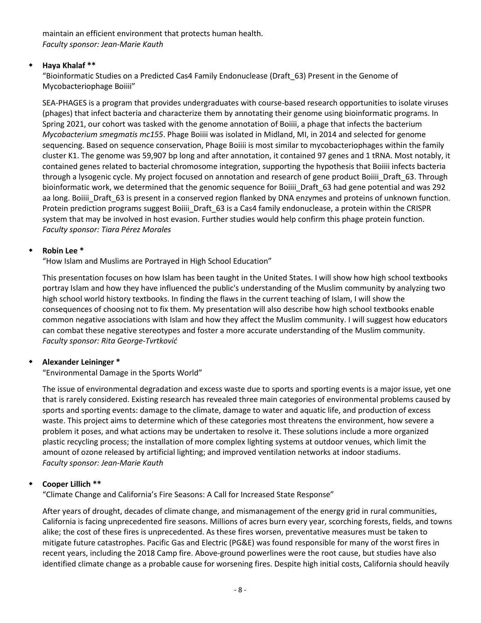maintain an efficient environment that protects human health. *Faculty sponsor: Jean-Marie Kauth*

## **Haya Khalaf \*\***

"Bioinformatic Studies on a Predicted Cas4 Family Endonuclease (Draft\_63) Present in the Genome of Mycobacteriophage Boiiii"

SEA-PHAGES is a program that provides undergraduates with course-based research opportunities to isolate viruses (phages) that infect bacteria and characterize them by annotating their genome using bioinformatic programs. In Spring 2021, our cohort was tasked with the genome annotation of Boiiii, a phage that infects the bacterium *Mycobacterium smegmatis mc155*. Phage Boiiii was isolated in Midland, MI, in 2014 and selected for genome sequencing. Based on sequence conservation, Phage Boiiii is most similar to mycobacteriophages within the family cluster K1. The genome was 59,907 bp long and after annotation, it contained 97 genes and 1 tRNA. Most notably, it contained genes related to bacterial chromosome integration, supporting the hypothesis that Boiiii infects bacteria through a lysogenic cycle. My project focused on annotation and research of gene product Boiiii\_Draft\_63. Through bioinformatic work, we determined that the genomic sequence for Boiiii Draft 63 had gene potential and was 292 aa long. Boiiii\_Draft\_63 is present in a conserved region flanked by DNA enzymes and proteins of unknown function. Protein prediction programs suggest Boiiii\_Draft\_63 is a Cas4 family endonuclease, a protein within the CRISPR system that may be involved in host evasion. Further studies would help confirm this phage protein function. *Faculty sponsor: Tiara Pérez Morales*

# **Robin Lee \***

"How Islam and Muslims are Portrayed in High School Education"

This presentation focuses on how Islam has been taught in the United States. I will show how high school textbooks portray Islam and how they have influenced the public's understanding of the Muslim community by analyzing two high school world history textbooks. In finding the flaws in the current teaching of Islam, I will show the consequences of choosing not to fix them. My presentation will also describe how high school textbooks enable common negative associations with Islam and how they affect the Muslim community. I will suggest how educators can combat these negative stereotypes and foster a more accurate understanding of the Muslim community. *Faculty sponsor: Rita George-Tvrtković*

# **Alexander Leininger \***

"Environmental Damage in the Sports World"

The issue of environmental degradation and excess waste due to sports and sporting events is a major issue, yet one that is rarely considered. Existing research has revealed three main categories of environmental problems caused by sports and sporting events: damage to the climate, damage to water and aquatic life, and production of excess waste. This project aims to determine which of these categories most threatens the environment, how severe a problem it poses, and what actions may be undertaken to resolve it. These solutions include a more organized plastic recycling process; the installation of more complex lighting systems at outdoor venues, which limit the amount of ozone released by artificial lighting; and improved ventilation networks at indoor stadiums. *Faculty sponsor: Jean-Marie Kauth*

## **Cooper Lillich \*\***

"Climate Change and California's Fire Seasons: A Call for Increased State Response"

After years of drought, decades of climate change, and mismanagement of the energy grid in rural communities, California is facing unprecedented fire seasons. Millions of acres burn every year, scorching forests, fields, and towns alike; the cost of these fires is unprecedented. As these fires worsen, preventative measures must be taken to mitigate future catastrophes. Pacific Gas and Electric (PG&E) was found responsible for many of the worst fires in recent years, including the 2018 Camp fire. Above-ground powerlines were the root cause, but studies have also identified climate change as a probable cause for worsening fires. Despite high initial costs, California should heavily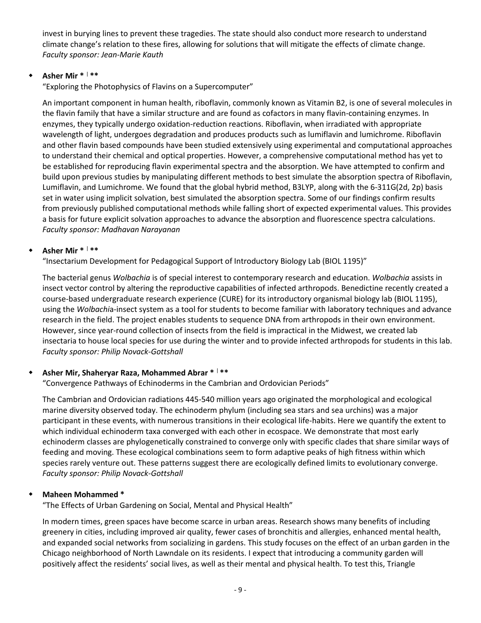invest in burying lines to prevent these tragedies. The state should also conduct more research to understand climate change's relation to these fires, allowing for solutions that will mitigate the effects of climate change. *Faculty sponsor: Jean-Marie Kauth*

# **Asher Mir \*** <sup>|</sup> **\*\***

"Exploring the Photophysics of Flavins on a Supercomputer"

An important component in human health, riboflavin, commonly known as Vitamin B2, is one of several molecules in the flavin family that have a similar structure and are found as cofactors in many flavin-containing enzymes. In enzymes, they typically undergo oxidation-reduction reactions. Riboflavin, when irradiated with appropriate wavelength of light, undergoes degradation and produces products such as lumiflavin and lumichrome. Riboflavin and other flavin based compounds have been studied extensively using experimental and computational approaches to understand their chemical and optical properties. However, a comprehensive computational method has yet to be established for reproducing flavin experimental spectra and the absorption. We have attempted to confirm and build upon previous studies by manipulating different methods to best simulate the absorption spectra of Riboflavin, Lumiflavin, and Lumichrome. We found that the global hybrid method, B3LYP, along with the 6-311G(2d, 2p) basis set in water using implicit solvation, best simulated the absorption spectra. Some of our findings confirm results from previously published computational methods while falling short of expected experimental values. This provides a basis for future explicit solvation approaches to advance the absorption and fluorescence spectra calculations. *Faculty sponsor: Madhavan Narayanan*

# **Asher Mir \*** <sup>|</sup> **\*\***

"Insectarium Development for Pedagogical Support of Introductory Biology Lab (BIOL 1195)"

The bacterial genus *Wolbachia* is of special interest to contemporary research and education. *Wolbachia* assists in insect vector control by altering the reproductive capabilities of infected arthropods. Benedictine recently created a course-based undergraduate research experience (CURE) for its introductory organismal biology lab (BIOL 1195), using the *Wolbachi*a-insect system as a tool for students to become familiar with laboratory techniques and advance research in the field. The project enables students to sequence DNA from arthropods in their own environment. However, since year-round collection of insects from the field is impractical in the Midwest, we created lab insectaria to house local species for use during the winter and to provide infected arthropods for students in this lab. *Faculty sponsor: Philip Novack-Gottshall*

## **Asher Mir, Shaheryar Raza, Mohammed Abrar \*** <sup>|</sup> **\*\***

"Convergence Pathways of Echinoderms in the Cambrian and Ordovician Periods"

The Cambrian and Ordovician radiations 445-540 million years ago originated the morphological and ecological marine diversity observed today. The echinoderm phylum (including sea stars and sea urchins) was a major participant in these events, with numerous transitions in their ecological life-habits. Here we quantify the extent to which individual echinoderm taxa converged with each other in ecospace. We demonstrate that most early echinoderm classes are phylogenetically constrained to converge only with specific clades that share similar ways of feeding and moving. These ecological combinations seem to form adaptive peaks of high fitness within which species rarely venture out. These patterns suggest there are ecologically defined limits to evolutionary converge. *Faculty sponsor: Philip Novack-Gottshall*

## **Maheen Mohammed \***

"The Effects of Urban Gardening on Social, Mental and Physical Health"

In modern times, green spaces have become scarce in urban areas. Research shows many benefits of including greenery in cities, including improved air quality, fewer cases of bronchitis and allergies, enhanced mental health, and expanded social networks from socializing in gardens. This study focuses on the effect of an urban garden in the Chicago neighborhood of North Lawndale on its residents. I expect that introducing a community garden will positively affect the residents' social lives, as well as their mental and physical health. To test this, Triangle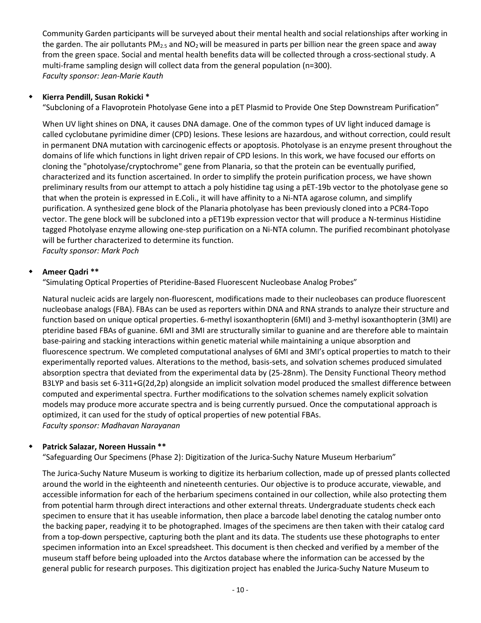Community Garden participants will be surveyed about their mental health and social relationships after working in the garden. The air pollutants  $PM_{2.5}$  and  $NO<sub>2</sub>$  will be measured in parts per billion near the green space and away from the green space. Social and mental health benefits data will be collected through a cross-sectional study. A multi-frame sampling design will collect data from the general population (n=300). *Faculty sponsor: Jean-Marie Kauth*

## **Kierra Pendill, Susan Rokicki \***

"Subcloning of a Flavoprotein Photolyase Gene into a pET Plasmid to Provide One Step Downstream Purification"

When UV light shines on DNA, it causes DNA damage. One of the common types of UV light induced damage is called cyclobutane pyrimidine dimer (CPD) lesions. These lesions are hazardous, and without correction, could result in permanent DNA mutation with carcinogenic effects or apoptosis. Photolyase is an enzyme present throughout the domains of life which functions in light driven repair of CPD lesions. In this work, we have focused our efforts on cloning the "photolyase/cryptochrome" gene from Planaria, so that the protein can be eventually purified, characterized and its function ascertained. In order to simplify the protein purification process, we have shown preliminary results from our attempt to attach a poly histidine tag using a pET-19b vector to the photolyase gene so that when the protein is expressed in E.Coli., it will have affinity to a Ni-NTA agarose column, and simplify purification. A synthesized gene block of the Planaria photolyase has been previously cloned into a PCR4-Topo vector. The gene block will be subcloned into a pET19b expression vector that will produce a N-terminus Histidine tagged Photolyase enzyme allowing one-step purification on a Ni-NTA column. The purified recombinant photolyase will be further characterized to determine its function.

*Faculty sponsor: Mark Poch*

# **Ameer Qadri \*\***

"Simulating Optical Properties of Pteridine-Based Fluorescent Nucleobase Analog Probes"

Natural nucleic acids are largely non-fluorescent, modifications made to their nucleobases can produce fluorescent nucleobase analogs (FBA). FBAs can be used as reporters within DNA and RNA strands to analyze their structure and function based on unique optical properties. 6-methyl isoxanthopterin (6MI) and 3-methyl isoxanthopterin (3MI) are pteridine based FBAs of guanine. 6MI and 3MI are structurally similar to guanine and are therefore able to maintain base-pairing and stacking interactions within genetic material while maintaining a unique absorption and fluorescence spectrum. We completed computational analyses of 6MI and 3MI's optical properties to match to their experimentally reported values. Alterations to the method, basis-sets, and solvation schemes produced simulated absorption spectra that deviated from the experimental data by (25-28nm). The Density Functional Theory method B3LYP and basis set 6-311+G(2d,2p) alongside an implicit solvation model produced the smallest difference between computed and experimental spectra. Further modifications to the solvation schemes namely explicit solvation models may produce more accurate spectra and is being currently pursued. Once the computational approach is optimized, it can used for the study of optical properties of new potential FBAs. *Faculty sponsor: Madhavan Narayanan*

## **Patrick Salazar, Noreen Hussain \*\***

"Safeguarding Our Specimens (Phase 2): Digitization of the Jurica-Suchy Nature Museum Herbarium"

The Jurica-Suchy Nature Museum is working to digitize its herbarium collection, made up of pressed plants collected around the world in the eighteenth and nineteenth centuries. Our objective is to produce accurate, viewable, and accessible information for each of the herbarium specimens contained in our collection, while also protecting them from potential harm through direct interactions and other external threats. Undergraduate students check each specimen to ensure that it has useable information, then place a barcode label denoting the catalog number onto the backing paper, readying it to be photographed. Images of the specimens are then taken with their catalog card from a top-down perspective, capturing both the plant and its data. The students use these photographs to enter specimen information into an Excel spreadsheet. This document is then checked and verified by a member of the museum staff before being uploaded into the Arctos database where the information can be accessed by the general public for research purposes. This digitization project has enabled the Jurica-Suchy Nature Museum to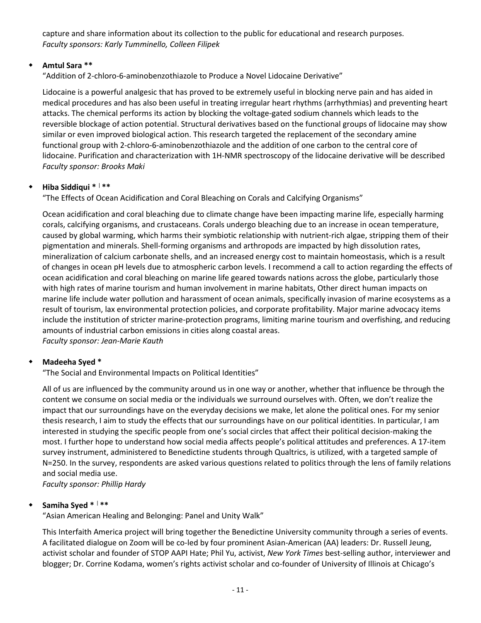capture and share information about its collection to the public for educational and research purposes. *Faculty sponsors: Karly Tumminello, Colleen Filipek*

# **Amtul Sara \*\***

"Addition of 2-chloro-6-aminobenzothiazole to Produce a Novel Lidocaine Derivative"

Lidocaine is a powerful analgesic that has proved to be extremely useful in blocking nerve pain and has aided in medical procedures and has also been useful in treating irregular heart rhythms (arrhythmias) and preventing heart attacks. The chemical performs its action by blocking the voltage-gated sodium channels which leads to the reversible blockage of action potential. Structural derivatives based on the functional groups of lidocaine may show similar or even improved biological action. This research targeted the replacement of the secondary amine functional group with 2-chloro-6-aminobenzothiazole and the addition of one carbon to the central core of lidocaine. Purification and characterization with 1H-NMR spectroscopy of the lidocaine derivative will be described *Faculty sponsor: Brooks Maki*

# **Hiba Siddiqui \*** <sup>|</sup> **\*\***

"The Effects of Ocean Acidification and Coral Bleaching on Corals and Calcifying Organisms"

Ocean acidification and coral bleaching due to climate change have been impacting marine life, especially harming corals, calcifying organisms, and crustaceans. Corals undergo bleaching due to an increase in ocean temperature, caused by global warming, which harms their symbiotic relationship with nutrient-rich algae, stripping them of their pigmentation and minerals. Shell-forming organisms and arthropods are impacted by high dissolution rates, mineralization of calcium carbonate shells, and an increased energy cost to maintain homeostasis, which is a result of changes in ocean pH levels due to atmospheric carbon levels. I recommend a call to action regarding the effects of ocean acidification and coral bleaching on marine life geared towards nations across the globe, particularly those with high rates of marine tourism and human involvement in marine habitats, Other direct human impacts on marine life include water pollution and harassment of ocean animals, specifically invasion of marine ecosystems as a result of tourism, lax environmental protection policies, and corporate profitability. Major marine advocacy items include the institution of stricter marine-protection programs, limiting marine tourism and overfishing, and reducing amounts of industrial carbon emissions in cities along coastal areas. *Faculty sponsor: Jean-Marie Kauth*

# **Madeeha Syed \***

"The Social and Environmental Impacts on Political Identities"

All of us are influenced by the community around us in one way or another, whether that influence be through the content we consume on social media or the individuals we surround ourselves with. Often, we don't realize the impact that our surroundings have on the everyday decisions we make, let alone the political ones. For my senior thesis research, I aim to study the effects that our surroundings have on our political identities. In particular, I am interested in studying the specific people from one's social circles that affect their political decision-making the most. I further hope to understand how social media affects people's political attitudes and preferences. A 17-item survey instrument, administered to Benedictine students through Qualtrics, is utilized, with a targeted sample of N=250. In the survey, respondents are asked various questions related to politics through the lens of family relations and social media use.

*Faculty sponsor: Phillip Hardy*

# **Samiha Syed \*** <sup>|</sup> **\*\***

"Asian American Healing and Belonging: Panel and Unity Walk"

This Interfaith America project will bring together the Benedictine University community through a series of events. A facilitated dialogue on Zoom will be co-led by four prominent Asian-American (AA) leaders: Dr. Russell Jeung, activist scholar and founder of STOP AAPI Hate; Phil Yu, activist, *New York Times* best-selling author, interviewer and blogger; Dr. Corrine Kodama, women's rights activist scholar and co-founder of University of Illinois at Chicago's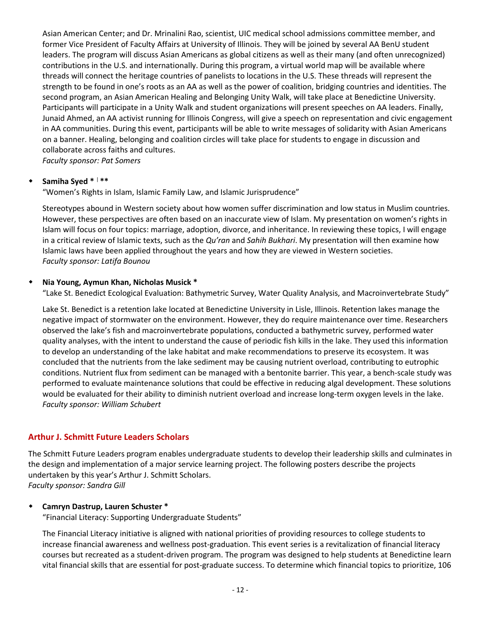Asian American Center; and Dr. Mrinalini Rao, scientist, UIC medical school admissions committee member, and former Vice President of Faculty Affairs at University of Illinois. They will be joined by several AA BenU student leaders. The program will discuss Asian Americans as global citizens as well as their many (and often unrecognized) contributions in the U.S. and internationally. During this program, a virtual world map will be available where threads will connect the heritage countries of panelists to locations in the U.S. These threads will represent the strength to be found in one's roots as an AA as well as the power of coalition, bridging countries and identities. The second program, an Asian American Healing and Belonging Unity Walk, will take place at Benedictine University. Participants will participate in a Unity Walk and student organizations will present speeches on AA leaders. Finally, Junaid Ahmed, an AA activist running for Illinois Congress, will give a speech on representation and civic engagement in AA communities. During this event, participants will be able to write messages of solidarity with Asian Americans on a banner. Healing, belonging and coalition circles will take place for students to engage in discussion and collaborate across faiths and cultures.

*Faculty sponsor: Pat Somers*

#### **Samiha Syed \*** <sup>|</sup> **\*\***

"Women's Rights in Islam, Islamic Family Law, and Islamic Jurisprudence"

Stereotypes abound in Western society about how women suffer discrimination and low status in Muslim countries. However, these perspectives are often based on an inaccurate view of Islam. My presentation on women's rights in Islam will focus on four topics: marriage, adoption, divorce, and inheritance. In reviewing these topics, I will engage in a critical review of Islamic texts, such as the *Qu'ran* and *Sahih Bukhari*. My presentation will then examine how Islamic laws have been applied throughout the years and how they are viewed in Western societies. *Faculty sponsor: Latifa Bounou*

#### **Nia Young, Aymun Khan, Nicholas Musick \***

"Lake St. Benedict Ecological Evaluation: Bathymetric Survey, Water Quality Analysis, and Macroinvertebrate Study"

Lake St. Benedict is a retention lake located at Benedictine University in Lisle, Illinois. Retention lakes manage the negative impact of stormwater on the environment. However, they do require maintenance over time. Researchers observed the lake's fish and macroinvertebrate populations, conducted a bathymetric survey, performed water quality analyses, with the intent to understand the cause of periodic fish kills in the lake. They used this information to develop an understanding of the lake habitat and make recommendations to preserve its ecosystem. It was concluded that the nutrients from the lake sediment may be causing nutrient overload, contributing to eutrophic conditions. Nutrient flux from sediment can be managed with a bentonite barrier. This year, a bench-scale study was performed to evaluate maintenance solutions that could be effective in reducing algal development. These solutions would be evaluated for their ability to diminish nutrient overload and increase long-term oxygen levels in the lake. *Faculty sponsor: William Schubert*

## **Arthur J. Schmitt Future Leaders Scholars**

The Schmitt Future Leaders program enables undergraduate students to develop their leadership skills and culminates in the design and implementation of a major service learning project. The following posters describe the projects undertaken by this year's Arthur J. Schmitt Scholars. *Faculty sponsor: Sandra Gill*

#### **Camryn Dastrup, Lauren Schuster \*** "Financial Literacy: Supporting Undergraduate Students"

The Financial Literacy initiative is aligned with national priorities of providing resources to college students to increase financial awareness and wellness post-graduation. This event series is a revitalization of financial literacy courses but recreated as a student-driven program. The program was designed to help students at Benedictine learn vital financial skills that are essential for post-graduate success. To determine which financial topics to prioritize, 106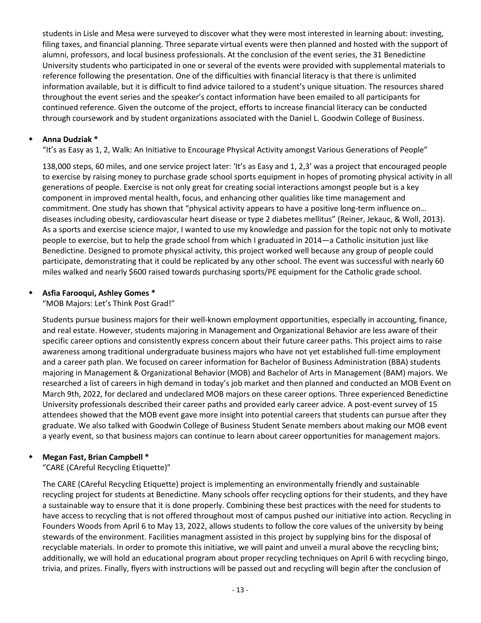students in Lisle and Mesa were surveyed to discover what they were most interested in learning about: investing, filing taxes, and financial planning. Three separate virtual events were then planned and hosted with the support of alumni, professors, and local business professionals. At the conclusion of the event series, the 31 Benedictine University students who participated in one or several of the events were provided with supplemental materials to reference following the presentation. One of the difficulties with financial literacy is that there is unlimited information available, but it is difficult to find advice tailored to a student's unique situation. The resources shared throughout the event series and the speaker's contact information have been emailed to all participants for continued reference. Given the outcome of the project, efforts to increase financial literacy can be conducted through coursework and by student organizations associated with the Daniel L. Goodwin College of Business.

## **Anna Dudziak \***

"It's as Easy as 1, 2, Walk: An Initiative to Encourage Physical Activity amongst Various Generations of People"

138,000 steps, 60 miles, and one service project later: 'It's as Easy and 1, 2,3' was a project that encouraged people to exercise by raising money to purchase grade school sports equipment in hopes of promoting physical activity in all generations of people. Exercise is not only great for creating social interactions amongst people but is a key component in improved mental health, focus, and enhancing other qualities like time management and commitment. One study has shown that "physical activity appears to have a positive long-term influence on… diseases including obesity, cardiovascular heart disease or type 2 diabetes mellitus" (Reiner, Jekauc, & Woll, 2013). As a sports and exercise science major, I wanted to use my knowledge and passion for the topic not only to motivate people to exercise, but to help the grade school from which I graduated in 2014—a Catholic insitution just like Benedictine. Designed to promote physical activity, this project worked well because any group of people could participate, demonstrating that it could be replicated by any other school. The event was successful with nearly 60 miles walked and nearly \$600 raised towards purchasing sports/PE equipment for the Catholic grade school.

## **Asfia Farooqui, Ashley Gomes \***

"MOB Majors: Let's Think Post Grad!"

Students pursue business majors for their well-known employment opportunities, especially in accounting, finance, and real estate. However, students majoring in Management and Organizational Behavior are less aware of their specific career options and consistently express concern about their future career paths. This project aims to raise awareness among traditional undergraduate business majors who have not yet established full-time employment and a career path plan. We focused on career information for Bachelor of Business Administration (BBA) students majoring in Management & Organizational Behavior (MOB) and Bachelor of Arts in Management (BAM) majors. We researched a list of careers in high demand in today's job market and then planned and conducted an MOB Event on March 9th, 2022, for declared and undeclared MOB majors on these career options. Three experienced Benedictine University professionals described their career paths and provided early career advice. A post-event survey of 15 attendees showed that the MOB event gave more insight into potential careers that students can pursue after they graduate. We also talked with Goodwin College of Business Student Senate members about making our MOB event a yearly event, so that business majors can continue to learn about career opportunities for management majors.

## **Megan Fast, Brian Campbell \***

"CARE (CAreful Recycling Etiquette)"

The CARE (CAreful Recycling Etiquette) project is implementing an environmentally friendly and sustainable recycling project for students at Benedictine. Many schools offer recycling options for their students, and they have a sustainable way to ensure that it is done properly. Combining these best practices with the need for students to have access to recycling that is not offered throughout most of campus pushed our initiative into action. Recycling in Founders Woods from April 6 to May 13, 2022, allows students to follow the core values of the university by being stewards of the environment. Facilities managment assisted in this project by supplying bins for the disposal of recyclable materials. In order to promote this initiative, we will paint and unveil a mural above the recycling bins; additionally, we will hold an educational program about proper recycling techniques on April 6 with recycling bingo, trivia, and prizes. Finally, flyers with instructions will be passed out and recycling will begin after the conclusion of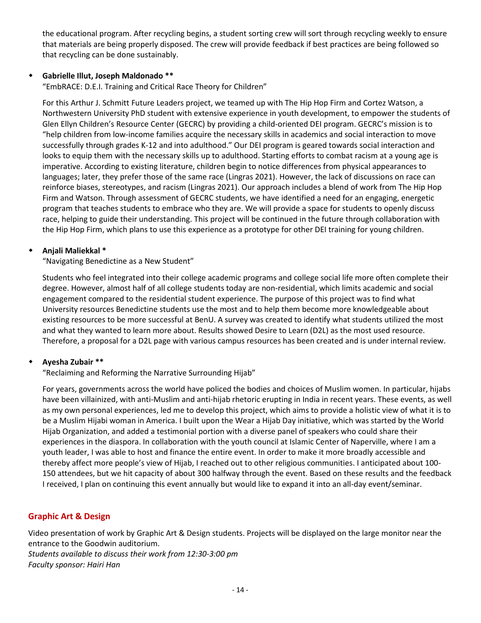the educational program. After recycling begins, a student sorting crew will sort through recycling weekly to ensure that materials are being properly disposed. The crew will provide feedback if best practices are being followed so that recycling can be done sustainably.

## **Gabrielle Illut, Joseph Maldonado \*\***

"EmbRACE: D.E.I. Training and Critical Race Theory for Children"

For this Arthur J. Schmitt Future Leaders project, we teamed up with The Hip Hop Firm and Cortez Watson, a Northwestern University PhD student with extensive experience in youth development, to empower the students of Glen Ellyn Children's Resource Center (GECRC) by providing a child-oriented DEI program. GECRC's mission is to "help children from low-income families acquire the necessary skills in academics and social interaction to move successfully through grades K-12 and into adulthood." Our DEI program is geared towards social interaction and looks to equip them with the necessary skills up to adulthood. Starting efforts to combat racism at a young age is imperative. According to existing literature, children begin to notice differences from physical appearances to languages; later, they prefer those of the same race (Lingras 2021). However, the lack of discussions on race can reinforce biases, stereotypes, and racism (Lingras 2021). Our approach includes a blend of work from The Hip Hop Firm and Watson. Through assessment of GECRC students, we have identified a need for an engaging, energetic program that teaches students to embrace who they are. We will provide a space for students to openly discuss race, helping to guide their understanding. This project will be continued in the future through collaboration with the Hip Hop Firm, which plans to use this experience as a prototype for other DEI training for young children.

#### **Anjali Maliekkal \***

"Navigating Benedictine as a New Student"

Students who feel integrated into their college academic programs and college social life more often complete their degree. However, almost half of all college students today are non-residential, which limits academic and social engagement compared to the residential student experience. The purpose of this project was to find what University resources Benedictine students use the most and to help them become more knowledgeable about existing resources to be more successful at BenU. A survey was created to identify what students utilized the most and what they wanted to learn more about. Results showed Desire to Learn (D2L) as the most used resource. Therefore, a proposal for a D2L page with various campus resources has been created and is under internal review.

#### **Ayesha Zubair \*\***

"Reclaiming and Reforming the Narrative Surrounding Hijab"

For years, governments across the world have policed the bodies and choices of Muslim women. In particular, hijabs have been villainized, with anti-Muslim and anti-hijab rhetoric erupting in India in recent years. These events, as well as my own personal experiences, led me to develop this project, which aims to provide a holistic view of what it is to be a Muslim Hijabi woman in America. I built upon the Wear a Hijab Day initiative, which was started by the World Hijab Organization, and added a testimonial portion with a diverse panel of speakers who could share their experiences in the diaspora. In collaboration with the youth council at Islamic Center of Naperville, where I am a youth leader, I was able to host and finance the entire event. In order to make it more broadly accessible and thereby affect more people's view of Hijab, I reached out to other religious communities. I anticipated about 100- 150 attendees, but we hit capacity of about 300 halfway through the event. Based on these results and the feedback I received, I plan on continuing this event annually but would like to expand it into an all-day event/seminar.

## **Graphic Art & Design**

Video presentation of work by Graphic Art & Design students. Projects will be displayed on the large monitor near the entrance to the Goodwin auditorium. *Students available to discuss their work from 12:30-3:00 pm Faculty sponsor: Hairi Han*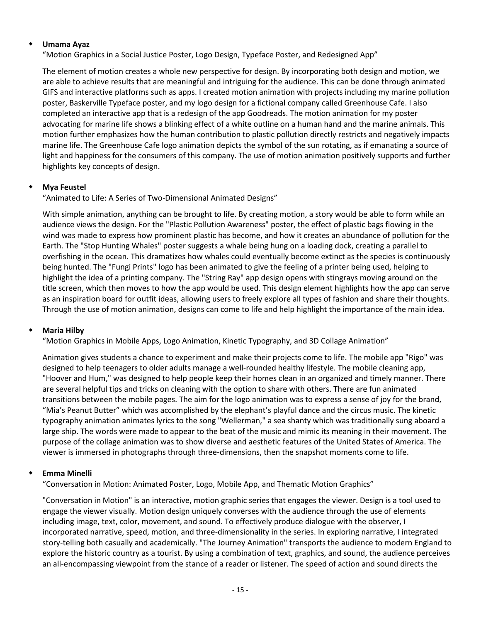#### **Umama Ayaz**

"Motion Graphics in a Social Justice Poster, Logo Design, Typeface Poster, and Redesigned App"

The element of motion creates a whole new perspective for design. By incorporating both design and motion, we are able to achieve results that are meaningful and intriguing for the audience. This can be done through animated GIFS and interactive platforms such as apps. I created motion animation with projects including my marine pollution poster, Baskerville Typeface poster, and my logo design for a fictional company called Greenhouse Cafe. I also completed an interactive app that is a redesign of the app Goodreads. The motion animation for my poster advocating for marine life shows a blinking effect of a white outline on a human hand and the marine animals. This motion further emphasizes how the human contribution to plastic pollution directly restricts and negatively impacts marine life. The Greenhouse Cafe logo animation depicts the symbol of the sun rotating, as if emanating a source of light and happiness for the consumers of this company. The use of motion animation positively supports and further highlights key concepts of design.

## **Mya Feustel**

"Animated to Life: A Series of Two-Dimensional Animated Designs"

With simple animation, anything can be brought to life. By creating motion, a story would be able to form while an audience views the design. For the "Plastic Pollution Awareness" poster, the effect of plastic bags flowing in the wind was made to express how prominent plastic has become, and how it creates an abundance of pollution for the Earth. The "Stop Hunting Whales" poster suggests a whale being hung on a loading dock, creating a parallel to overfishing in the ocean. This dramatizes how whales could eventually become extinct as the species is continuously being hunted. The "Fungi Prints" logo has been animated to give the feeling of a printer being used, helping to highlight the idea of a printing company. The "String Ray" app design opens with stingrays moving around on the title screen, which then moves to how the app would be used. This design element highlights how the app can serve as an inspiration board for outfit ideas, allowing users to freely explore all types of fashion and share their thoughts. Through the use of motion animation, designs can come to life and help highlight the importance of the main idea.

## **Maria Hilby**

"Motion Graphics in Mobile Apps, Logo Animation, Kinetic Typography, and 3D Collage Animation"

Animation gives students a chance to experiment and make their projects come to life. The mobile app "Rigo" was designed to help teenagers to older adults manage a well-rounded healthy lifestyle. The mobile cleaning app, "Hoover and Hum," was designed to help people keep their homes clean in an organized and timely manner. There are several helpful tips and tricks on cleaning with the option to share with others. There are fun animated transitions between the mobile pages. The aim for the logo animation was to express a sense of joy for the brand, "Mia's Peanut Butter" which was accomplished by the elephant's playful dance and the circus music. The kinetic typography animation animates lyrics to the song "Wellerman," a sea shanty which was traditionally sung aboard a large ship. The words were made to appear to the beat of the music and mimic its meaning in their movement. The purpose of the collage animation was to show diverse and aesthetic features of the United States of America. The viewer is immersed in photographs through three-dimensions, then the snapshot moments come to life.

## **Emma Minelli**

"Conversation in Motion: Animated Poster, Logo, Mobile App, and Thematic Motion Graphics"

"Conversation in Motion" is an interactive, motion graphic series that engages the viewer. Design is a tool used to engage the viewer visually. Motion design uniquely converses with the audience through the use of elements including image, text, color, movement, and sound. To effectively produce dialogue with the observer, I incorporated narrative, speed, motion, and three-dimensionality in the series. In exploring narrative, I integrated story-telling both casually and academically. "The Journey Animation" transports the audience to modern England to explore the historic country as a tourist. By using a combination of text, graphics, and sound, the audience perceives an all-encompassing viewpoint from the stance of a reader or listener. The speed of action and sound directs the